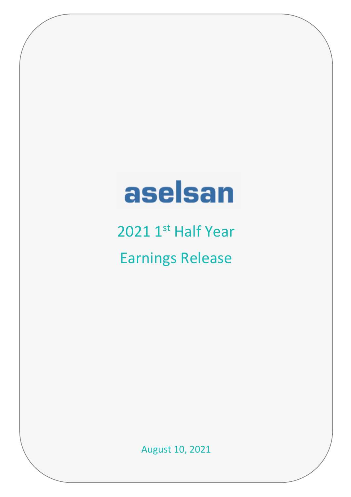# aselsan

2021 1<sup>st</sup> Half Year Earnings Release

August 10, 2021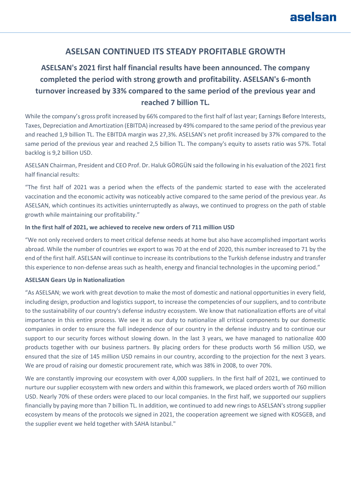## **ASELSAN CONTINUED ITS STEADY PROFITABLE GROWTH**

# **ASELSAN's 2021 first half financial results have been announced. The company completed the period with strong growth and profitability. ASELSAN's 6-month turnover increased by 33% compared to the same period of the previous year and reached 7 billion TL.**

While the company's gross profit increased by 66% compared to the first half of last year; Earnings Before Interests, Taxes, Depreciation and Amortization (EBITDA) increased by 49% compared to the same period of the previous year and reached 1,9 billion TL. The EBITDA margin was 27,3%. ASELSAN's net profit increased by 37% compared to the same period of the previous year and reached 2,5 billion TL. The company's equity to assets ratio was 57%. Total backlog is 9,2 billion USD.

ASELSAN Chairman, President and CEO Prof. Dr. Haluk GÖRGÜN said the following in his evaluation of the 2021 first half financial results:

"The first half of 2021 was a period when the effects of the pandemic started to ease with the accelerated vaccination and the economic activity was noticeably active compared to the same period of the previous year. As ASELSAN, which continues its activities uninterruptedly as always, we continued to progress on the path of stable growth while maintaining our profitability."

### **In the first half of 2021, we achieved to receive new orders of 711 million USD**

"We not only received orders to meet critical defense needs at home but also have accomplished important works abroad. While the number of countries we export to was 70 at the end of 2020, this number increased to 71 by the end of the first half. ASELSAN will continue to increase its contributions to the Turkish defense industry and transfer this experience to non-defense areas such as health, energy and financial technologies in the upcoming period."

### **ASELSAN Gears Up in Nationalization**

"As ASELSAN; we work with great devotion to make the most of domestic and national opportunities in every field, including design, production and logistics support, to increase the competencies of our suppliers, and to contribute to the sustainability of our country's defense industry ecosystem. We know that nationalization efforts are of vital importance in this entire process. We see it as our duty to nationalize all critical components by our domestic companies in order to ensure the full independence of our country in the defense industry and to continue our support to our security forces without slowing down. In the last 3 years, we have managed to nationalize 400 products together with our business partners. By placing orders for these products worth 56 million USD, we ensured that the size of 145 million USD remains in our country, according to the projection for the next 3 years. We are proud of raising our domestic procurement rate, which was 38% in 2008, to over 70%.

We are constantly improving our ecosystem with over 4,000 suppliers. In the first half of 2021, we continued to nurture our supplier ecosystem with new orders and within this framework, we placed orders worth of 760 million USD. Nearly 70% of these orders were placed to our local companies. In the first half, we supported our suppliers financially by paying more than 7 billion TL. In addition, we continued to add new rings to ASELSAN's strong supplier ecosystem by means of the protocols we signed in 2021, the cooperation agreement we signed with KOSGEB, and the supplier event we held together with SAHA Istanbul."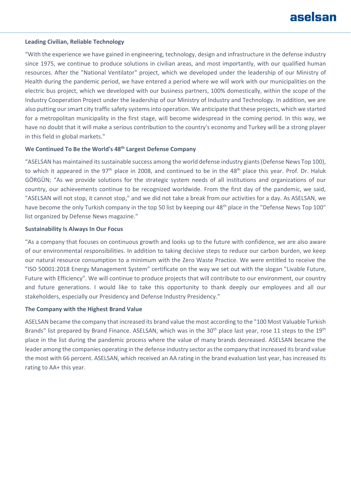### **Leading Civilian, Reliable Technology**

"With the experience we have gained in engineering, technology, design and infrastructure in the defense industry since 1975, we continue to produce solutions in civilian areas, and most importantly, with our qualified human resources. After the "National Ventilator" project, which we developed under the leadership of our Ministry of Health during the pandemic period, we have entered a period where we will work with our municipalities on the electric bus project, which we developed with our business partners, 100% domestically, within the scope of the Industry Cooperation Project under the leadership of our Ministry of Industry and Technology. In addition, we are also putting our smart city traffic safety systems into operation. We anticipate that these projects, which we started for a metropolitan municipality in the first stage, will become widespread in the coming period. In this way, we have no doubt that it will make a serious contribution to the country's economy and Turkey will be a strong player in this field in global markets."

### **We Continued To Be the World's 48th Largest Defense Company**

"ASELSAN has maintained its sustainable success among the world defense industry giants (Defense News Top 100), to which it appeared in the 97<sup>th</sup> place in 2008, and continued to be in the 48<sup>th</sup> place this year. Prof. Dr. Haluk GÖRGÜN; "As we provide solutions for the strategic system needs of all institutions and organizations of our country, our achievements continue to be recognized worldwide. From the first day of the pandemic, we said, "ASELSAN will not stop, it cannot stop," and we did not take a break from our activities for a day. As ASELSAN, we have become the only Turkish company in the top 50 list by keeping our 48<sup>th</sup> place in the "Defense News Top 100" list organized by Defense News magazine."

### **Sustainability Is Always In Our Focus**

"As a company that focuses on continuous growth and looks up to the future with confidence, we are also aware of our environmental responsibilities. In addition to taking decisive steps to reduce our carbon burden, we keep our natural resource consumption to a minimum with the Zero Waste Practice. We were entitled to receive the "ISO 50001:2018 Energy Management System" certificate on the way we set out with the slogan "Livable Future, Future with Efficiency". We will continue to produce projects that will contribute to our environment, our country and future generations. I would like to take this opportunity to thank deeply our employees and all our stakeholders, especially our Presidency and Defense Industry Presidency."

#### **The Company with the Highest Brand Value**

ASELSAN became the company that increased its brand value the most according to the "100 Most Valuable Turkish Brands" list prepared by Brand Finance. ASELSAN, which was in the 30<sup>th</sup> place last year, rose 11 steps to the 19<sup>th</sup> place in the list during the pandemic process where the value of many brands decreased. ASELSAN became the leader among the companies operating in the defense industry sector as the company that increased its brand value the most with 66 percent. ASELSAN, which received an AA rating in the brand evaluation last year, has increased its rating to AA+ this year.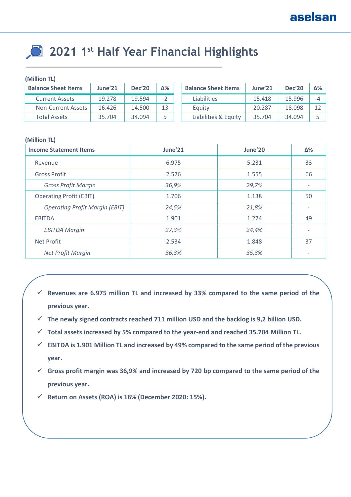# **2021 1st Half Year Financial Highlights**

### **(Million TL)**

| <b>Balance Sheet Items</b> | June'21 | <b>Dec'20</b> | Δ%   | <b>Balance Sheet Items</b> | June'21 | <b>Dec'20</b> | Δ%∣ |
|----------------------------|---------|---------------|------|----------------------------|---------|---------------|-----|
| <b>Current Assets</b>      | 19.278  | 19.594        | $-2$ | <b>Liabilities</b>         | 15.418  | 15.996        | -4  |
| Non-Current Assets         | 16.426  | 14.500        | 13   | Equity                     | 20.287  | 18.098        | 17  |
| <b>Total Assets</b>        | 35.704  | 34.094        |      | Liabilities & Equity       | 35.704  | 34.094        |     |

### **(Million TL)**

| <b>Income Statement Items</b>         | June'21 | June'20 | Δ%                       |
|---------------------------------------|---------|---------|--------------------------|
| Revenue                               | 6.975   | 5.231   | 33                       |
| <b>Gross Profit</b>                   | 2.576   | 1.555   | 66                       |
| <b>Gross Profit Margin</b>            | 36,9%   | 29,7%   |                          |
| <b>Operating Profit (EBIT)</b>        | 1.706   | 1.138   | 50                       |
| <b>Operating Profit Margin (EBIT)</b> | 24,5%   | 21,8%   |                          |
| <b>EBITDA</b>                         | 1.901   | 1.274   | 49                       |
| <b>EBITDA Margin</b>                  | 27,3%   | 24,4%   | $\overline{\phantom{a}}$ |
| <b>Net Profit</b>                     | 2.534   | 1.848   | 37                       |
| Net Profit Margin                     | 36,3%   | 35,3%   | $\overline{\phantom{a}}$ |

- ✓ **Revenues are 6.975 million TL and increased by 33% compared to the same period of the previous year.**
- ✓ **The newly signed contracts reached 711 million USD and the backlog is 9,2 billion USD.**
- ✓ **Total assets increased by 5% compared to the year-end and reached 35.704 Million TL.**
- ✓ **EBITDA is 1.901 Million TL and increased by 49% compared to the same period of the previous year.**
- ✓ **Gross profit margin was 36,9% and increased by 720 bp compared to the same period of the previous year.**
- ✓ **Return on Assets (ROA) is 16% (December 2020: 15%).**